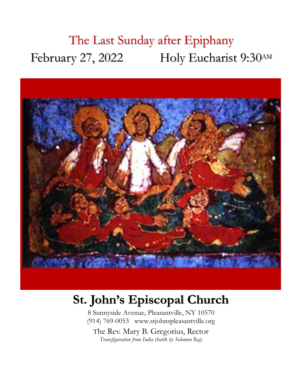# The Last Sunday after Epiphany February 27, 2022 Holy Eucharist 9:30AM



# **St. John's Episcopal Church**

8 Sunnyside Avenue, Pleasantville, NY 10570 (914) 769-0053 www.stjohnspleasantville.org

The Rev. Mary B. Gregorius, Rector *Transfiguration from India (batik by Solomon Raj)*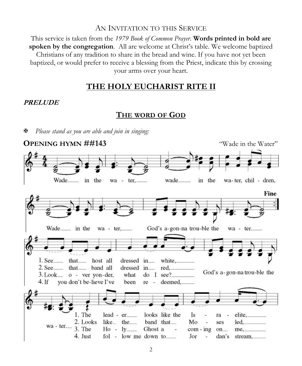#### AN INVITATION TO THIS SERVICE

This service is taken from the *1979 Book of Common Prayer*. **Words printed in bold are spoken by the congregation**. All are welcome at Christ's table. We welcome baptized Christians of any tradition to share in the bread and wine. If you have not yet been baptized, or would prefer to receive a blessing from the Priest, indicate this by crossing your arms over your heart.

## **THE HOLY EUCHARIST RITE II**

#### **PRELUDE**

## **THE WORD OF GOD**

*Please stand as you are able and join in singing:*

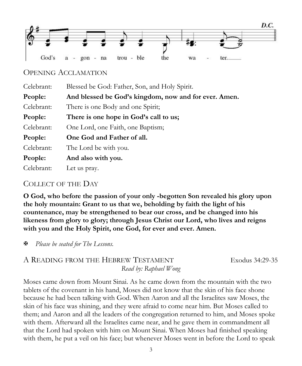

## OPENING ACCLAMATION

| Celebrant: | Blessed be God: Father, Son, and Holy Spirit.         |
|------------|-------------------------------------------------------|
| People:    | And blessed be God's kingdom, now and for ever. Amen. |
| Celebrant: | There is one Body and one Spirit;                     |
| People:    | There is one hope in God's call to us;                |
| Celebrant: | One Lord, one Faith, one Baptism;                     |
| People:    | One God and Father of all.                            |
| Celebrant: | The Lord be with you.                                 |
| People:    | And also with you.                                    |
| Celebrant: | Let us pray.                                          |

## COLLECT OF THE DAY

**O God, who before the passion of your only -begotten Son revealed his glory upon the holy mountain: Grant to us that we, beholding by faith the light of his countenance, may be strengthened to bear our cross, and be changed into his likeness from glory to glory; through Jesus Christ our Lord, who lives and reigns with you and the Holy Spirit, one God, for ever and ever. Amen.**

*Please be seated for The Lessons.*

## A READING FROM THE HEBREW TESTAMENT Fxodus 34:29-35 *Read by: Raphael Wong*

Moses came down from Mount Sinai. As he came down from the mountain with the two tablets of the covenant in his hand, Moses did not know that the skin of his face shone because he had been talking with God. When Aaron and all the Israelites saw Moses, the skin of his face was shining, and they were afraid to come near him. But Moses called to them; and Aaron and all the leaders of the congregation returned to him, and Moses spoke with them. Afterward all the Israelites came near, and he gave them in commandment all that the Lord had spoken with him on Mount Sinai. When Moses had finished speaking with them, he put a veil on his face; but whenever Moses went in before the Lord to speak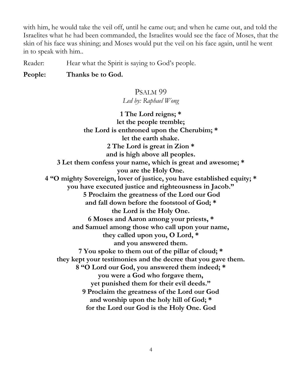with him, he would take the veil off, until he came out; and when he came out, and told the Israelites what he had been commanded, the Israelites would see the face of Moses, that the skin of his face was shining; and Moses would put the veil on his face again, until he went in to speak with him..

Reader: Hear what the Spirit is saying to God's people.

**People: Thanks be to God.**

# PSALM 99

## *Led by: Raphael Wong*

**1 The Lord reigns; \* let the people tremble; the Lord is enthroned upon the Cherubim; \* let the earth shake. 2 The Lord is great in Zion \* and is high above all peoples. 3 Let them confess your name, which is great and awesome; \* you are the Holy One. 4 "O mighty Sovereign, lover of justice, you have established equity; \* you have executed justice and righteousness in Jacob." 5 Proclaim the greatness of the Lord our God and fall down before the footstool of God; \* the Lord is the Holy One. 6 Moses and Aaron among your priests, \* and Samuel among those who call upon your name, they called upon you, O Lord, \* and you answered them. 7 You spoke to them out of the pillar of cloud; \* they kept your testimonies and the decree that you gave them. 8 "O Lord our God, you answered them indeed; \* you were a God who forgave them, yet punished them for their evil deeds." 9 Proclaim the greatness of the Lord our God and worship upon the holy hill of God; \* for the Lord our God is the Holy One. God**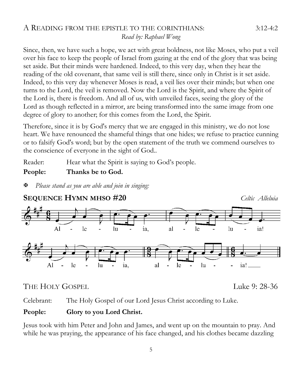# A READING FROM THE EPISTLE TO THE CORINTHIANS: 3:12-4:2 *Read by: Raphael Wong*

Since, then, we have such a hope, we act with great boldness, not like Moses, who put a veil over his face to keep the people of Israel from gazing at the end of the glory that was being set aside. But their minds were hardened. Indeed, to this very day, when they hear the reading of the old covenant, that same veil is still there, since only in Christ is it set aside. Indeed, to this very day whenever Moses is read, a veil lies over their minds; but when one turns to the Lord, the veil is removed. Now the Lord is the Spirit, and where the Spirit of the Lord is, there is freedom. And all of us, with unveiled faces, seeing the glory of the Lord as though reflected in a mirror, are being transformed into the same image from one degree of glory to another; for this comes from the Lord, the Spirit.

Therefore, since it is by God's mercy that we are engaged in this ministry, we do not lose heart. We have renounced the shameful things that one hides; we refuse to practice cunning or to falsify God's word; but by the open statement of the truth we commend ourselves to the conscience of everyone in the sight of God..

Reader: Hear what the Spirit is saying to God's people.

## **People: Thanks be to God.**

*Please stand as you are able and join in singing:*



THE HOLY GOSPEL LUCK CONTROL THE HOLY GOSPEL

Celebrant: The Holy Gospel of our Lord Jesus Christ according to Luke.

## **People: Glory to you Lord Christ.**

Jesus took with him Peter and John and James, and went up on the mountain to pray. And while he was praying, the appearance of his face changed, and his clothes became dazzling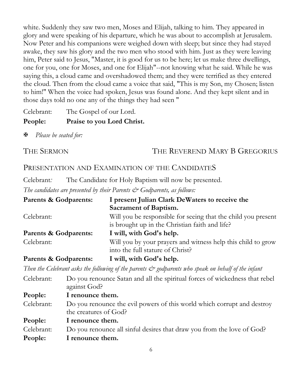white. Suddenly they saw two men, Moses and Elijah, talking to him. They appeared in glory and were speaking of his departure, which he was about to accomplish at Jerusalem. Now Peter and his companions were weighed down with sleep; but since they had stayed awake, they saw his glory and the two men who stood with him. Just as they were leaving him, Peter said to Jesus, "Master, it is good for us to be here; let us make three dwellings, one for you, one for Moses, and one for Elijah"--not knowing what he said. While he was saying this, a cloud came and overshadowed them; and they were terrified as they entered the cloud. Then from the cloud came a voice that said, "This is my Son, my Chosen; listen to him!" When the voice had spoken, Jesus was found alone. And they kept silent and in those days told no one any of the things they had seen "

Celebrant: The Gospel of our Lord.

## **People: Praise to you Lord Christ.**

*Please be seated for:*

# THE SERMON THE REVEREND MARY B GREGORIUS

# PRESENTATION AND EXAMINATION OF THE CANDIDATES

Celebrant*:* The Candidate for Holy Baptism will now be presented. *The candidates are presented by their Parents & Godparents, as follows:*

| Parents & Godparents: | I present Julian Clark DeWaters to receive the                                                                           |
|-----------------------|--------------------------------------------------------------------------------------------------------------------------|
|                       | Sacrament of Baptism.                                                                                                    |
| Celebrant:            | Will you be responsible for seeing that the child you present                                                            |
|                       | is brought up in the Christian faith and life?                                                                           |
| Parents & Godparents: | I will, with God's help.                                                                                                 |
| Celebrant:            | Will you by your prayers and witness help this child to grow                                                             |
|                       | into the full stature of Christ?                                                                                         |
| Parents & Godparents: | I will, with God's help.                                                                                                 |
|                       | Then the Celebrant asks the following of the parents $\partial \mathcal{P}$ godparents who speak on hehalf of the infant |

*Then the Celebrant asks the following of the parents & godparents who speak on behalf of the infant* Celebrant: Do you renounce Satan and all the spiritual forces of wickedness that rebel

| Cenediane. | DO you renounce balan and an the spiritual forces of wickedness that rebel<br>against God?       |
|------------|--------------------------------------------------------------------------------------------------|
| People:    | I renounce them.                                                                                 |
| Celebrant: | Do you renounce the evil powers of this world which corrupt and destroy<br>the creatures of God? |
| People:    | I renounce them.                                                                                 |
| Celebrant: | Do you renounce all sinful desires that draw you from the love of God?                           |
| People:    | I renounce them.                                                                                 |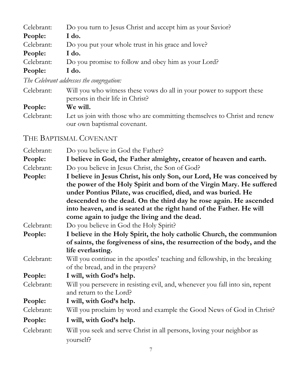| Celebrant:                                | Do you turn to Jesus Christ and accept him as your Savior? |
|-------------------------------------------|------------------------------------------------------------|
| People:                                   | I do.                                                      |
| Celebrant:                                | Do you put your whole trust in his grace and love?         |
| People:                                   | I do.                                                      |
| Celebrant:                                | Do you promise to follow and obey him as your Lord?        |
| People:                                   | I do.                                                      |
| The Colchugut adduction the congregations |                                                            |

*The Celebrant addresses the congregation:*

| Celebrant: | Will you who witness these vows do all in your power to support these    |
|------------|--------------------------------------------------------------------------|
|            | persons in their life in Christ?                                         |
| People:    | We will.                                                                 |
| Celebrant: | Let us join with those who are committing themselves to Christ and renew |
|            | our own baptismal covenant.                                              |

# THE BAPTISMAL COVENANT

| Celebrant: | Do you believe in God the Father?                                             |
|------------|-------------------------------------------------------------------------------|
| People:    | I believe in God, the Father almighty, creator of heaven and earth.           |
| Celebrant: | Do you believe in Jesus Christ, the Son of God?                               |
| People:    | I believe in Jesus Christ, his only Son, our Lord, He was conceived by        |
|            | the power of the Holy Spirit and born of the Virgin Mary. He suffered         |
|            | under Pontius Pilate, was crucified, died, and was buried. He                 |
|            | descended to the dead. On the third day he rose again. He ascended            |
|            | into heaven, and is seated at the right hand of the Father. He will           |
|            | come again to judge the living and the dead.                                  |
| Celebrant: | Do you believe in God the Holy Spirit?                                        |
| People:    | I believe in the Holy Spirit, the holy catholic Church, the communion         |
|            | of saints, the forgiveness of sins, the resurrection of the body, and the     |
|            | life everlasting.                                                             |
| Celebrant: | Will you continue in the apostles' teaching and fellowship, in the breaking   |
|            | of the bread, and in the prayers?                                             |
| People:    | I will, with God's help.                                                      |
| Celebrant: | Will you persevere in resisting evil, and, whenever you fall into sin, repent |
|            | and return to the Lord?                                                       |
| People:    | I will, with God's help.                                                      |
| Celebrant: | Will you proclaim by word and example the Good News of God in Christ?         |
| People:    | I will, with God's help.                                                      |
| Celebrant: | Will you seek and serve Christ in all persons, loving your neighbor as        |
|            | yourself?                                                                     |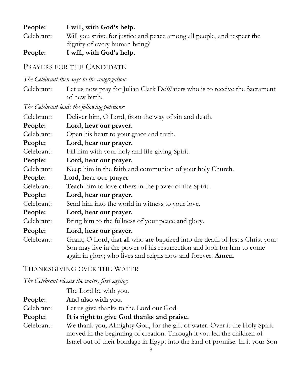| People:    | I will, with God's help.                                                                                 |
|------------|----------------------------------------------------------------------------------------------------------|
| Celebrant: | Will you strive for justice and peace among all people, and respect the<br>dignity of every human being? |
| People:    | I will, with God's help.                                                                                 |

## PRAYERS FOR THE CANDIDATE

*The Celebrant then says to the congregation:*

Celebrant: Let us now pray for Julian Clark DeWaters who is to receive the Sacrament of new birth.

*The Celebrant leads the following petitions:*

| Celebrant: | Deliver him, O Lord, from the way of sin and death.                                                                                                                                                                   |
|------------|-----------------------------------------------------------------------------------------------------------------------------------------------------------------------------------------------------------------------|
| People:    | Lord, hear our prayer.                                                                                                                                                                                                |
| Celebrant: | Open his heart to your grace and truth.                                                                                                                                                                               |
| People:    | Lord, hear our prayer.                                                                                                                                                                                                |
| Celebrant: | Fill him with your holy and life-giving Spirit.                                                                                                                                                                       |
| People:    | Lord, hear our prayer.                                                                                                                                                                                                |
| Celebrant: | Keep him in the faith and communion of your holy Church.                                                                                                                                                              |
| People:    | Lord, hear our prayer                                                                                                                                                                                                 |
| Celebrant: | Teach him to love others in the power of the Spirit.                                                                                                                                                                  |
| People:    | Lord, hear our prayer.                                                                                                                                                                                                |
| Celebrant: | Send him into the world in witness to your love.                                                                                                                                                                      |
| People:    | Lord, hear our prayer.                                                                                                                                                                                                |
| Celebrant: | Bring him to the fullness of your peace and glory.                                                                                                                                                                    |
| People:    | Lord, hear our prayer.                                                                                                                                                                                                |
| Celebrant: | Grant, O Lord, that all who are baptized into the death of Jesus Christ your<br>Son may live in the power of his resurrection and look for him to come<br>again in glory; who lives and reigns now and forever. Amen. |

## THANKSGIVING OVER THE WATER

*The Celebrant blesses the water, first saying:*

|            | The Lord be with you.                                                         |
|------------|-------------------------------------------------------------------------------|
| People:    | And also with you.                                                            |
| Celebrant: | Let us give thanks to the Lord our God.                                       |
| People:    | It is right to give God thanks and praise.                                    |
| Celebrant: | We thank you, Almighty God, for the gift of water. Over it the Holy Spirit    |
|            | moved in the beginning of creation. Through it you led the children of        |
|            | Israel out of their bondage in Egypt into the land of promise. In it your Son |
|            |                                                                               |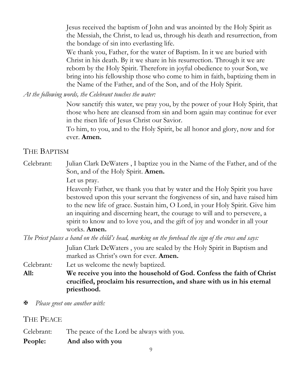Jesus received the baptism of John and was anointed by the Holy Spirit as the Messiah, the Christ, to lead us, through his death and resurrection, from the bondage of sin into everlasting life.

We thank you, Father, for the water of Baptism. In it we are buried with Christ in his death. By it we share in his resurrection. Through it we are reborn by the Holy Spirit. Therefore in joyful obedience to your Son, we bring into his fellowship those who come to him in faith, baptizing them in the Name of the Father, and of the Son, and of the Holy Spirit.

*At the following words, the Celebrant touches the water:*

Now sanctify this water, we pray you, by the power of your Holy Spirit, that those who here are cleansed from sin and born again may continue for ever in the risen life of Jesus Christ our Savior.

To him, to you, and to the Holy Spirit, be all honor and glory, now and for ever. **Amen.**

## THE BAPTISM

Celebrant: Julian Clark DeWaters , I baptize you in the Name of the Father, and of the Son, and of the Holy Spirit. **Amen.**

Let us pray.

Heavenly Father, we thank you that by water and the Holy Spirit you have bestowed upon this your servant the forgiveness of sin, and have raised him to the new life of grace. Sustain him, O Lord, in your Holy Spirit. Give him an inquiring and discerning heart, the courage to will and to persevere, a spirit to know and to love you, and the gift of joy and wonder in all your works. **Amen.**

*The Priest places a hand on the child's head, marking on the forehead the sign of the cross and says:*

Julian Clark DeWaters , you are sealed by the Holy Spirit in Baptism and marked as Christ's own for ever. **Amen.**

Celebrant*:* Let us welcome the newly baptized.

**All: We receive you into the household of God. Confess the faith of Christ crucified, proclaim his resurrection, and share with us in his eternal priesthood.**

*Please greet one another with:*

#### THE PEACE

Celebrant: The peace of the Lord be always with you.

**People: And also with you**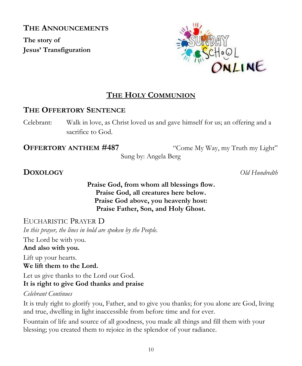**THE ANNOUNCEMENTS**

**The story of Jesus' Transfiguration**



# **THE HOLY COMMUNION**

## **THE OFFERTORY SENTENCE**

Celebrant: Walk in love, as Christ loved us and gave himself for us; an offering and a sacrifice to God.

**OFFERTORY ANTHEM #487** "Come My Way, my Truth my Light"

Sung by: Angela Berg

# **DOXOLOGY** *Old Hundredth*

**Praise God, from whom all blessings flow. Praise God, all creatures here below. Praise God above, you heavenly host: Praise Father, Son, and Holy Ghost.**

# EUCHARISTIC PRAYER D

*In this prayer, the lines in bold are spoken by the People.*

The Lord be with you. **And also with you.**

Lift up your hearts. **We lift them to the Lord.**

Let us give thanks to the Lord our God. **It is right to give God thanks and praise**

## *Celebrant Continues*

It is truly right to glorify you, Father, and to give you thanks; for you alone are God, living and true, dwelling in light inaccessible from before time and for ever.

Fountain of life and source of all goodness, you made all things and fill them with your blessing; you created them to rejoice in the splendor of your radiance.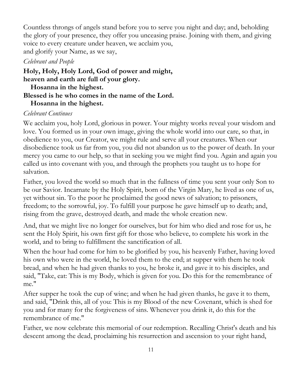Countless throngs of angels stand before you to serve you night and day; and, beholding the glory of your presence, they offer you unceasing praise. Joining with them, and giving voice to every creature under heaven, we acclaim you, and glorify your Name, as we say,

#### *Celebrant and People*

# **Holy, Holy, Holy Lord, God of power and might, heaven and earth are full of your glory.**

#### **Hosanna in the highest. Blessed is he who comes in the name of the Lord. Hosanna in the highest.**

## *Celebrant Continues*

We acclaim you, holy Lord, glorious in power. Your mighty works reveal your wisdom and love. You formed us in your own image, giving the whole world into our care, so that, in obedience to you, our Creator, we might rule and serve all your creatures. When our disobedience took us far from you, you did not abandon us to the power of death. In your mercy you came to our help, so that in seeking you we might find you. Again and again you called us into covenant with you, and through the prophets you taught us to hope for salvation.

Father, you loved the world so much that in the fullness of time you sent your only Son to be our Savior. Incarnate by the Holy Spirit, born of the Virgin Mary, he lived as one of us, yet without sin. To the poor he proclaimed the good news of salvation; to prisoners, freedom; to the sorrowful, joy. To fulfill your purpose he gave himself up to death; and, rising from the grave, destroyed death, and made the whole creation new.

And, that we might live no longer for ourselves, but for him who died and rose for us, he sent the Holy Spirit, his own first gift for those who believe, to complete his work in the world, and to bring to fulfillment the sanctification of all.

When the hour had come for him to be glorified by you, his heavenly Father, having loved his own who were in the world, he loved them to the end; at supper with them he took bread, and when he had given thanks to you, he broke it, and gave it to his disciples, and said, "Take, eat: This is my Body, which is given for you. Do this for the remembrance of me."

After supper he took the cup of wine; and when he had given thanks, he gave it to them, and said, "Drink this, all of you: This is my Blood of the new Covenant, which is shed for you and for many for the forgiveness of sins. Whenever you drink it, do this for the remembrance of me."

Father, we now celebrate this memorial of our redemption. Recalling Christ's death and his descent among the dead, proclaiming his resurrection and ascension to your right hand,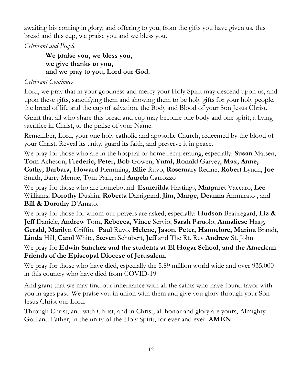awaiting his coming in glory; and offering to you, from the gifts you have given us, this bread and this cup, we praise you and we bless you.

*Celebrant and People*

**We praise you, we bless you, we give thanks to you, and we pray to you, Lord our God.** 

# *Celebrant Continues*

Lord, we pray that in your goodness and mercy your Holy Spirit may descend upon us, and upon these gifts, sanctifying them and showing them to be holy gifts for your holy people, the bread of life and the cup of salvation, the Body and Blood of your Son Jesus Christ.

Grant that all who share this bread and cup may become one body and one spirit, a living sacrifice in Christ, to the praise of your Name.

Remember, Lord, your one holy catholic and apostolic Church, redeemed by the blood of your Christ. Reveal its unity, guard its faith, and preserve it in peace.

We pray for those who are in the hospital or home recuperating, especially: **Susan** Matsen, **Tom** Acheson, **Frederic, Peter, Bob** Gowen, **Yumi, Ronald** Garvey, **Max, Anne, Cathy, Barbara, Howard** Flemming, **Ellie** Ruvo, **Rosemary** Recine, **Robert** Lynch, **Joe**  Smith, Barry Menue, Tom Park, and **Angela** Carrozzo

We pray for those who are homebound: **Esmerilda** Hastings, **Margaret** Vaccaro, **Lee** Williams, **Dorothy** Dushin, **Roberta** Darrigrand; **Jim, Marge, Deanna** Ammirato , and **Bill & Dorothy** D'Amato.

We pray for those for whom our prayers are asked, especially: **Hudson** Beauregard, **Liz & Jeff** Daniele, **Andrew** Tom**, Rebecca, Vince** Servio, **Sarah** Paruolo, **Annaliese** Haag, **Gerald, Marilyn** Griffin, **Paul** Ruvo, **Helene, Jason**, **Peter, Hannelore, Marina** Brandt, **Linda** Hill, **Carol** White, **Steven** Schubert, **Jeff** and The Rt. Rev **Andrew** St. John

We pray for **Edwin Sanchez and the students at El Hogar School, and the American Friends of the Episcopal Diocese of Jerusalem.**

We pray for those who have died, especially the 5.89 million world wide and over 935,000 in this country who have died from COVID-19

And grant that we may find our inheritance with all the saints who have found favor with you in ages past. We praise you in union with them and give you glory through your Son Jesus Christ our Lord.

Through Christ, and with Christ, and in Christ, all honor and glory are yours, Almighty God and Father, in the unity of the Holy Spirit, for ever and ever. **AMEN**.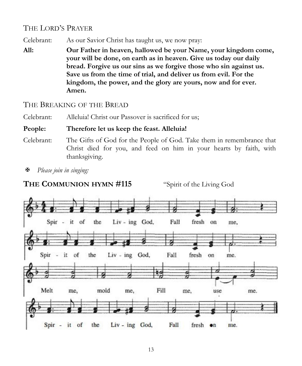# THE LORD'S PRAYER

Celebrant: As our Savior Christ has taught us, we now pray:

**All: Our Father in heaven, hallowed be your Name, your kingdom come, your will be done, on earth as in heaven. Give us today our daily bread. Forgive us our sins as we forgive those who sin against us. Save us from the time of trial, and deliver us from evil. For the kingdom, the power, and the glory are yours, now and for ever. Amen.** 

THE BREAKING OF THE BREAD

Celebrant: Alleluia! Christ our Passover is sacrificed for us;

## **People: Therefore let us keep the feast. Alleluia!**

- Celebrant: The Gifts of God for the People of God. Take them in remembrance that Christ died for you, and feed on him in your hearts by faith, with thanksgiving.
- *Please join in singing:*

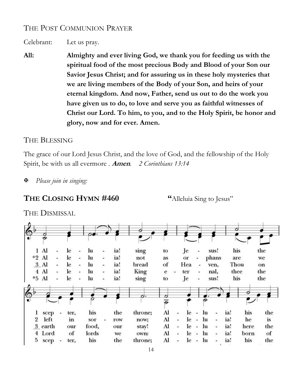# THE POST COMMUNION PRAYER

Celebrant: Let us pray.

**All: Almighty and ever living God, we thank you for feeding us with the spiritual food of the most precious Body and Blood of your Son our Savior Jesus Christ; and for assuring us in these holy mysteries that we are living members of the Body of your Son, and heirs of your eternal kingdom. And now, Father, send us out to do the work you have given us to do, to love and serve you as faithful witnesses of Christ our Lord. To him, to you, and to the Holy Spirit, be honor and glory, now and for ever. Amen.**

# THE BLESSING

The grace of our Lord Jesus Christ, and the love of God, and the fellowship of the Holy Spirit, be with us all evermore . **Amen***. 2 Corinthians 13:14*

*Please join in singing:*

# **THE CLOSING HYMN #460 "**Alleluia Sing to Jesus"



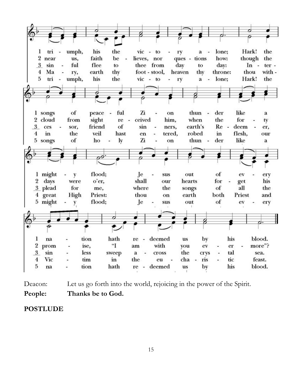

Deacon: Let us go forth into the world, rejoicing in the power of the Spirit.

**People: Thanks be to God.**

**POSTLUDE**